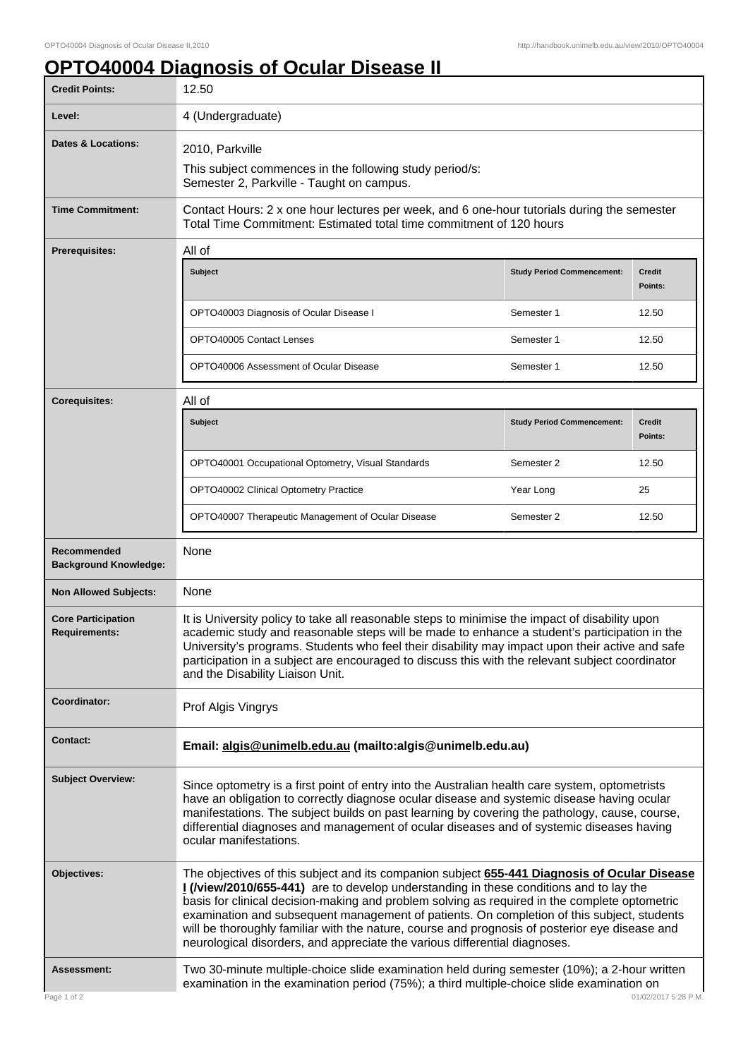## **OPTO40004 Diagnosis of Ocular Disease II**

| <b>Credit Points:</b>                             | 12.50                                                                                                                                                                                                                                                                                                                                                                                                                                                                                                                                                                 |                                   |                          |
|---------------------------------------------------|-----------------------------------------------------------------------------------------------------------------------------------------------------------------------------------------------------------------------------------------------------------------------------------------------------------------------------------------------------------------------------------------------------------------------------------------------------------------------------------------------------------------------------------------------------------------------|-----------------------------------|--------------------------|
| Level:                                            | 4 (Undergraduate)                                                                                                                                                                                                                                                                                                                                                                                                                                                                                                                                                     |                                   |                          |
| <b>Dates &amp; Locations:</b>                     | 2010, Parkville                                                                                                                                                                                                                                                                                                                                                                                                                                                                                                                                                       |                                   |                          |
|                                                   | This subject commences in the following study period/s:<br>Semester 2, Parkville - Taught on campus.                                                                                                                                                                                                                                                                                                                                                                                                                                                                  |                                   |                          |
| <b>Time Commitment:</b>                           | Contact Hours: 2 x one hour lectures per week, and 6 one-hour tutorials during the semester<br>Total Time Commitment: Estimated total time commitment of 120 hours                                                                                                                                                                                                                                                                                                                                                                                                    |                                   |                          |
| <b>Prerequisites:</b>                             | All of                                                                                                                                                                                                                                                                                                                                                                                                                                                                                                                                                                |                                   |                          |
|                                                   | Subject                                                                                                                                                                                                                                                                                                                                                                                                                                                                                                                                                               | <b>Study Period Commencement:</b> | <b>Credit</b><br>Points: |
|                                                   | OPTO40003 Diagnosis of Ocular Disease I                                                                                                                                                                                                                                                                                                                                                                                                                                                                                                                               | Semester 1                        | 12.50                    |
|                                                   | OPTO40005 Contact Lenses                                                                                                                                                                                                                                                                                                                                                                                                                                                                                                                                              | Semester 1                        | 12.50                    |
|                                                   | OPTO40006 Assessment of Ocular Disease                                                                                                                                                                                                                                                                                                                                                                                                                                                                                                                                | Semester 1                        | 12.50                    |
| <b>Corequisites:</b>                              | All of                                                                                                                                                                                                                                                                                                                                                                                                                                                                                                                                                                |                                   |                          |
|                                                   | Subject                                                                                                                                                                                                                                                                                                                                                                                                                                                                                                                                                               | <b>Study Period Commencement:</b> | Credit<br>Points:        |
|                                                   | OPTO40001 Occupational Optometry, Visual Standards                                                                                                                                                                                                                                                                                                                                                                                                                                                                                                                    | Semester 2                        | 12.50                    |
|                                                   | OPTO40002 Clinical Optometry Practice                                                                                                                                                                                                                                                                                                                                                                                                                                                                                                                                 | Year Long                         | 25                       |
|                                                   | OPTO40007 Therapeutic Management of Ocular Disease                                                                                                                                                                                                                                                                                                                                                                                                                                                                                                                    | Semester 2                        | 12.50                    |
| Recommended<br><b>Background Knowledge:</b>       | None                                                                                                                                                                                                                                                                                                                                                                                                                                                                                                                                                                  |                                   |                          |
| <b>Non Allowed Subjects:</b>                      | None                                                                                                                                                                                                                                                                                                                                                                                                                                                                                                                                                                  |                                   |                          |
| <b>Core Participation</b><br><b>Requirements:</b> | It is University policy to take all reasonable steps to minimise the impact of disability upon<br>academic study and reasonable steps will be made to enhance a student's participation in the<br>University's programs. Students who feel their disability may impact upon their active and safe<br>participation in a subject are encouraged to discuss this with the relevant subject coordinator<br>and the Disability Liaison Unit.                                                                                                                              |                                   |                          |
| Coordinator:                                      | Prof Algis Vingrys                                                                                                                                                                                                                                                                                                                                                                                                                                                                                                                                                    |                                   |                          |
| <b>Contact:</b>                                   | Email: algis@unimelb.edu.au (mailto:algis@unimelb.edu.au)                                                                                                                                                                                                                                                                                                                                                                                                                                                                                                             |                                   |                          |
| <b>Subject Overview:</b>                          | Since optometry is a first point of entry into the Australian health care system, optometrists<br>have an obligation to correctly diagnose ocular disease and systemic disease having ocular<br>manifestations. The subject builds on past learning by covering the pathology, cause, course,<br>differential diagnoses and management of ocular diseases and of systemic diseases having<br>ocular manifestations.                                                                                                                                                   |                                   |                          |
| Objectives:                                       | The objectives of this subject and its companion subject 655-441 Diagnosis of Ocular Disease<br>I (/view/2010/655-441) are to develop understanding in these conditions and to lay the<br>basis for clinical decision-making and problem solving as required in the complete optometric<br>examination and subsequent management of patients. On completion of this subject, students<br>will be thoroughly familiar with the nature, course and prognosis of posterior eye disease and<br>neurological disorders, and appreciate the various differential diagnoses. |                                   |                          |
| <b>Assessment:</b><br>Page 1 of 2                 | Two 30-minute multiple-choice slide examination held during semester (10%); a 2-hour written<br>examination in the examination period (75%); a third multiple-choice slide examination on                                                                                                                                                                                                                                                                                                                                                                             |                                   | 01/02/2017 5:28 P.M.     |